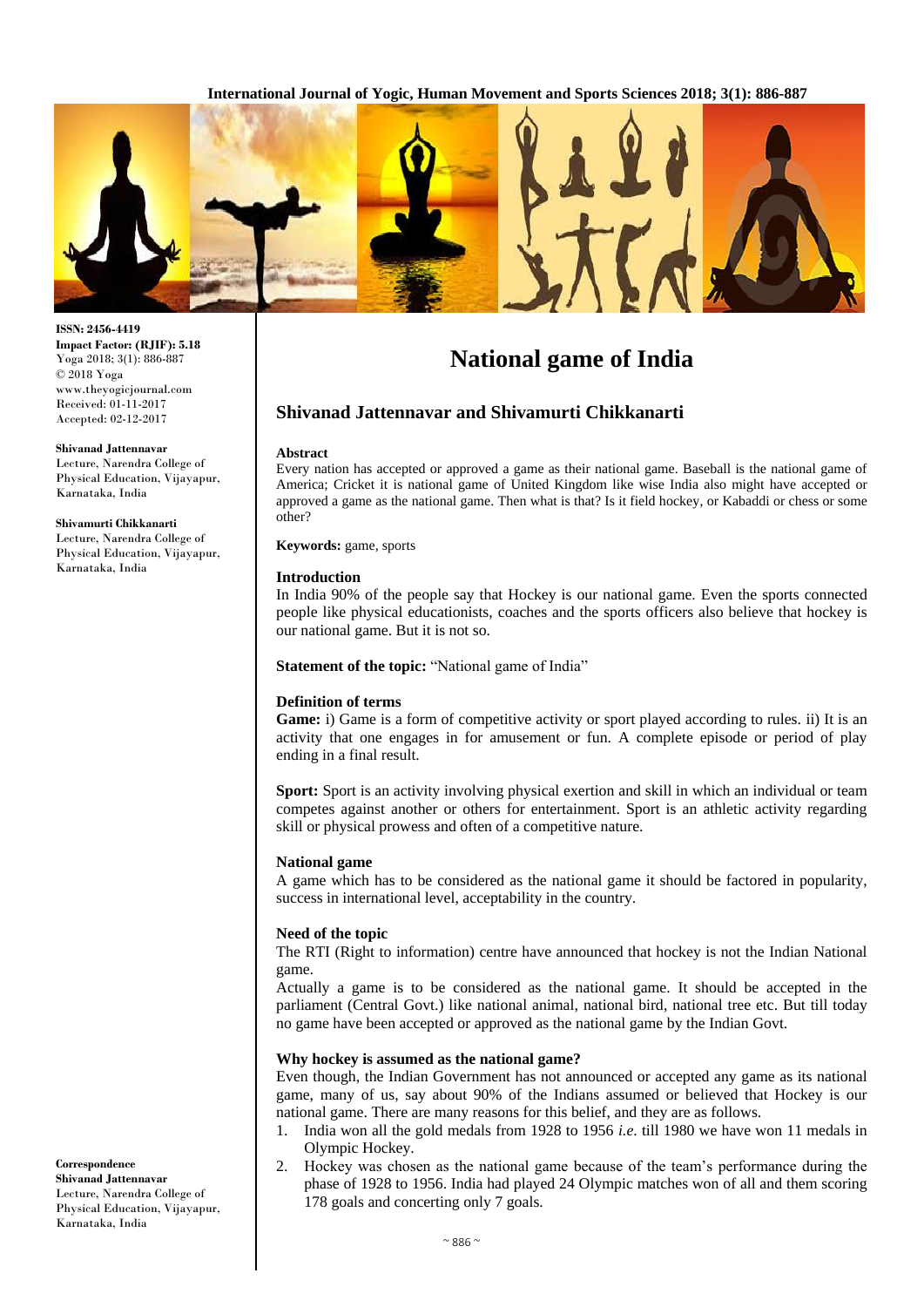

# **National game of India**

# **Shivanad Jattennavar and Shivamurti Chikkanarti**

#### **Abstract**

Every nation has accepted or approved a game as their national game. Baseball is the national game of America; Cricket it is national game of United Kingdom like wise India also might have accepted or approved a game as the national game. Then what is that? Is it field hockey, or Kabaddi or chess or some other?

**Keywords:** game, sports

#### **Introduction**

In India 90% of the people say that Hockey is our national game. Even the sports connected people like physical educationists, coaches and the sports officers also believe that hockey is our national game. But it is not so.

**Statement of the topic:** "National game of India"

## **Definition of terms**

Game: i) Game is a form of competitive activity or sport played according to rules. ii) It is an activity that one engages in for amusement or fun. A complete episode or period of play ending in a final result.

**Sport:** Sport is an activity involving physical exertion and skill in which an individual or team competes against another or others for entertainment. Sport is an athletic activity regarding skill or physical prowess and often of a competitive nature.

#### **National game**

A game which has to be considered as the national game it should be factored in popularity, success in international level, acceptability in the country.

#### **Need of the topic**

The RTI (Right to information) centre have announced that hockey is not the Indian National game.

Actually a game is to be considered as the national game. It should be accepted in the parliament (Central Govt.) like national animal, national bird, national tree etc. But till today no game have been accepted or approved as the national game by the Indian Govt.

## **Why hockey is assumed as the national game?**

Even though, the Indian Government has not announced or accepted any game as its national game, many of us, say about 90% of the Indians assumed or believed that Hockey is our national game. There are many reasons for this belief, and they are as follows.

- 1. India won all the gold medals from 1928 to 1956 *i.e*. till 1980 we have won 11 medals in Olympic Hockey.
- 2. Hockey was chosen as the national game because of the team's performance during the phase of 1928 to 1956. India had played 24 Olympic matches won of all and them scoring 178 goals and concerting only 7 goals.

**ISSN: 2456-4419 Impact Factor: (RJIF): 5.18** Yoga 2018; 3(1): 886-887 © 2018 Yoga www.theyogicjournal.com Received: 01-11-2017 Accepted: 02-12-2017

**Shivanad Jattennavar** Lecture, Narendra College of Physical Education, Vijayapur, Karnataka, India

**Shivamurti Chikkanarti** Lecture, Narendra College of Physical Education, Vijayapur, Karnataka, India

**Correspondence Shivanad Jattennavar**  Lecture, Narendra College of Physical Education, Vijayapur, Karnataka, India